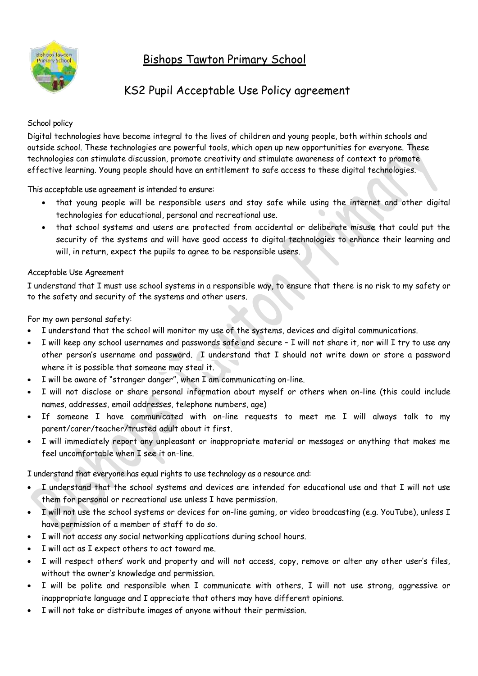# Bishops Tawton Primary School



## KS2 Pupil Acceptable Use Policy agreement

#### School policy

Digital technologies have become integral to the lives of children and young people, both within schools and outside school. These technologies are powerful tools, which open up new opportunities for everyone. These technologies can stimulate discussion, promote creativity and stimulate awareness of context to promote effective learning. Young people should have an entitlement to safe access to these digital technologies.

This acceptable use agreement is intended to ensure:

- that young people will be responsible users and stay safe while using the internet and other digital technologies for educational, personal and recreational use.
- that school systems and users are protected from accidental or deliberate misuse that could put the security of the systems and will have good access to digital technologies to enhance their learning and will, in return, expect the pupils to agree to be responsible users.

#### Acceptable Use Agreement

I understand that I must use school systems in a responsible way, to ensure that there is no risk to my safety or to the safety and security of the systems and other users.

For my own personal safety:

- I understand that the school will monitor my use of the systems, devices and digital communications.
- I will keep any school usernames and passwords safe and secure I will not share it, nor will I try to use any other person's username and password. I understand that I should not write down or store a password where it is possible that someone may steal it.
- I will be aware of "stranger danger", when I am communicating on-line.
- I will not disclose or share personal information about myself or others when on-line (this could include names, addresses, email addresses, telephone numbers, age)
- If someone I have communicated with on-line requests to meet me I will always talk to my parent/carer/teacher/trusted adult about it first.
- I will immediately report any unpleasant or inappropriate material or messages or anything that makes me feel uncomfortable when I see it on-line.

I understand that everyone has equal rights to use technology as a resource and:

- I understand that the school systems and devices are intended for educational use and that I will not use them for personal or recreational use unless I have permission.
- I will not use the school systems or devices for on-line gaming, or video broadcasting (e.g. YouTube), unless I have permission of a member of staff to do so.
- I will not access any social networking applications during school hours.
- I will act as I expect others to act toward me.
- I will respect others' work and property and will not access, copy, remove or alter any other user's files, without the owner's knowledge and permission.
- I will be polite and responsible when I communicate with others, I will not use strong, aggressive or inappropriate language and I appreciate that others may have different opinions.
- I will not take or distribute images of anyone without their permission.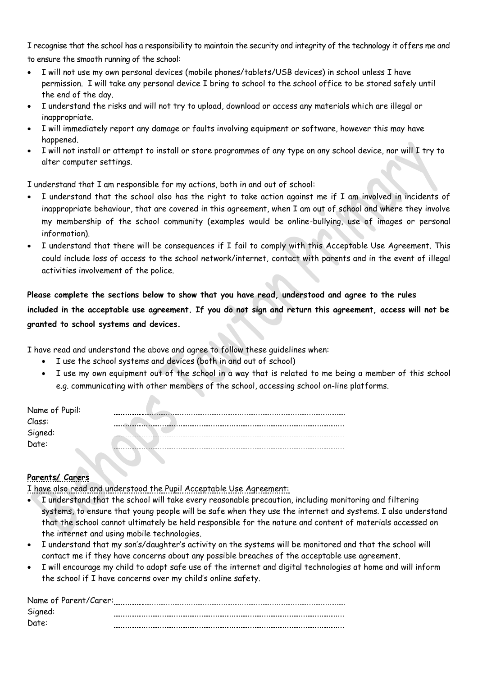I recognise that the school has a responsibility to maintain the security and integrity of the technology it offers me and to ensure the smooth running of the school:

- I will not use my own personal devices (mobile phones/tablets/USB devices) in school unless I have permission. I will take any personal device I bring to school to the school office to be stored safely until the end of the day.
- I understand the risks and will not try to upload, download or access any materials which are illegal or inappropriate.
- I will immediately report any damage or faults involving equipment or software, however this may have happened.
- I will not install or attempt to install or store programmes of any type on any school device, nor will I try to alter computer settings.

I understand that I am responsible for my actions, both in and out of school:

- I understand that the school also has the right to take action against me if I am involved in incidents of inappropriate behaviour, that are covered in this agreement, when I am out of school and where they involve my membership of the school community (examples would be online-bullying, use of images or personal information).
- I understand that there will be consequences if I fail to comply with this Acceptable Use Agreement. This could include loss of access to the school network/internet, contact with parents and in the event of illegal activities involvement of the police.

**Please complete the sections below to show that you have read, understood and agree to the rules included in the acceptable use agreement. If you do not sign and return this agreement, access will not be granted to school systems and devices.**

I have read and understand the above and agree to follow these guidelines when:

I use the school systems and devices (both in and out of school)

 $\blacktriangle$ 

 I use my own equipment out of the school in a way that is related to me being a member of this school e.g. communicating with other members of the school, accessing school on-line platforms.

| Name of Pupil: |  |
|----------------|--|
| Class:         |  |
| Signed:        |  |
| Date:          |  |
|                |  |

### **Parents/ Carers**

I have also read and understood the Pupil Acceptable Use Agreement:

- I understand that the school will take every reasonable precaution, including monitoring and filtering systems, to ensure that young people will be safe when they use the internet and systems. I also understand that the school cannot ultimately be held responsible for the nature and content of materials accessed on the internet and using mobile technologies.
- I understand that my son's/daughter's activity on the systems will be monitored and that the school will contact me if they have concerns about any possible breaches of the acceptable use agreement.
- I will encourage my child to adopt safe use of the internet and digital technologies at home and will inform the school if I have concerns over my child's online safety.

| Name of Parent/Carer: |  |
|-----------------------|--|
| Signed:               |  |
| Date:                 |  |